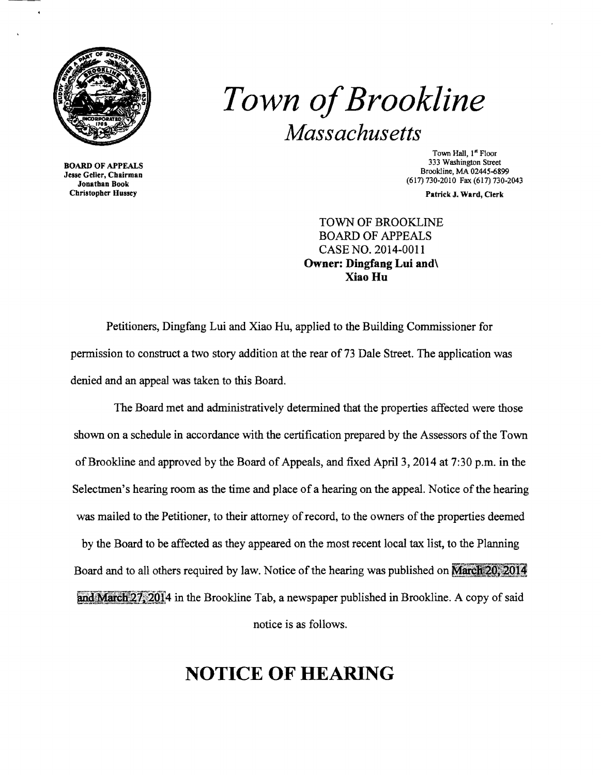

BOARD OF APPEALS Jesse Geller, Chairman Jonathan Book Christopher Hussey

## *Town ofBrookline Massachusetts*

Town Hall, 1<sup>st</sup> Floor 333 Washington Street Brookline, MA 02445-6899 (617) 730-2010 Fax (617) 730·2043

Patrick J. Ward, Clerk

TOWN OF BROOKLINE BOARD OF APPEALS CASE NO. 2014-0011 Owner: Dingfang Lui and\ Xiao Hu

Petitioners, Dingfang Lui and Xiao Hu, applied to the Building Commissioner for permission to construct a two story addition at the rear of 73 Dale Street. The application was denied and an appeal was taken to this Board.

The Board met and administratively determined that the properties affected were those shown on a schedule in accordance with the certification prepared by the Assessors of the Town of Brookline and approved by the Board of Appeals, and fixed April 3, 2014 at 7:30 p.m. in the Selectmen's hearing room as the time and place of a hearing on the appeal. Notice of the hearing was mailed to the Petitioner, to their attorney of record, to the owners of the properties deemed by the Board to be affected as they appeared on the most recent local tax list, to the Planning Board and to all others required by law. Notice of the hearing was published on **March 20, 2014** and March  $27,2014$  in the Brookline Tab, a newspaper published in Brookline. A copy of said notice is as follows.

## **NOTICE OF HEARING**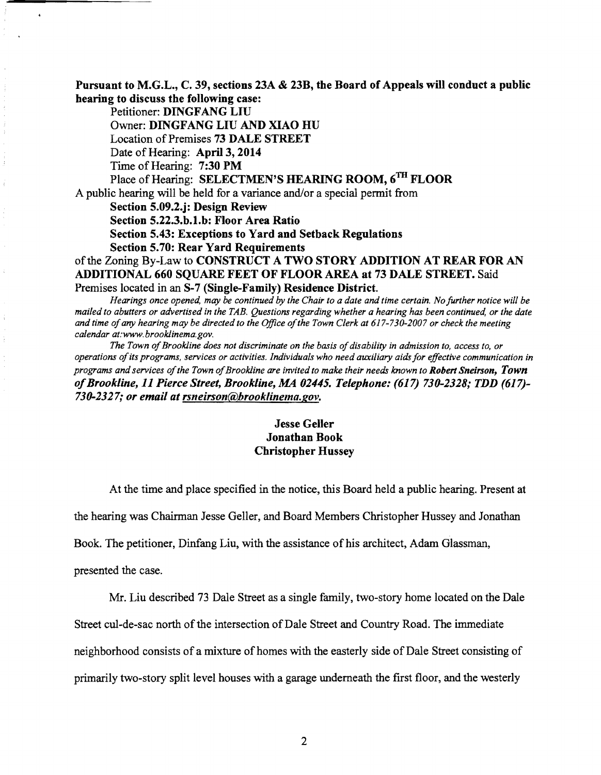Pursuant to M.G.L., C. 39, sections 23A & 23B, the Board of Appeals will conduct a public hearing to discuss the following case:

Petitioner: DINGFANG LIU Owner: DINGFANG LIU AND XIAO HU Location of Premises 73 DALE STREET Date of Hearing: April 3, 2014 Time of Hearing: 7:30 PM Place of Hearing: SELECTMEN'S HEARING ROOM, 6TH FLOOR A public hearing will be held for a variance and/or a special permit from Section 5.09.2.j: Design Review Section 5.22.3.b.l.b: Floor Area Ratio Section 5.43: Exceptions to Yard and Setback Regulations Section 5.70: Rear Yard Requirements of the Zoning By-Law to CONSTRUCT A TWO STORY ADDITION AT REAR FOR AN ADDITIONAL 660 SQUARE FEET OF FLOOR AREA at 73 DALE STREET. Said Premises located in an S-7 (Single-Family) Residence District.

*Hearings once opened, may be continued by the Chair to a date and time certain. No further notice will be mailed to abutters or advertised in the TAB. Questions regarding whether a hearing has been continued, or the date and time ofany hearing may be directed to the Office ofthe Town Clerk at 617-730-2007 or check the meeting calendar at:www.brooklinema.gov.* 

The Town of Brookline does not discriminate on the basis of disability in admission to, access to, or *operations ofits programs, services or activities. Individuals who need auxiliary aids for effective communication in programs and services ofthe Town ofBrookline are invited to make their needs known to Robert Sneirson, Town ofBrookline,* 11 *Pierce Street, Brookline, MA 02445. Telephone:* (617) *730-2328; TDD (617) 730-2327; or email at rsneirson@hrooklinema.gov.* 

## Jesse Geller Jonathan Book Christopher Hussey

At the time and place specified in the notice, this Board held a public hearing. Present at

the hearing *was* Chairman Jesse Geller, and Board Members Christopher Hussey and Jonathan

Book. The petitioner, Dinfang Liu, with the assistance of his architect, Adam Glassman,

presented the case.

Mr. Liu described 73 Dale Street as a single family, two-story home located on the Dale

Street cul-de-sac north of the intersection of Dale Street and Country Road. The immediate

neighborhood consists of a mixture of homes with the easterly side of Dale Street consisting of

primarily two-story split level houses with a garage tmderneath the first floor, and the westerly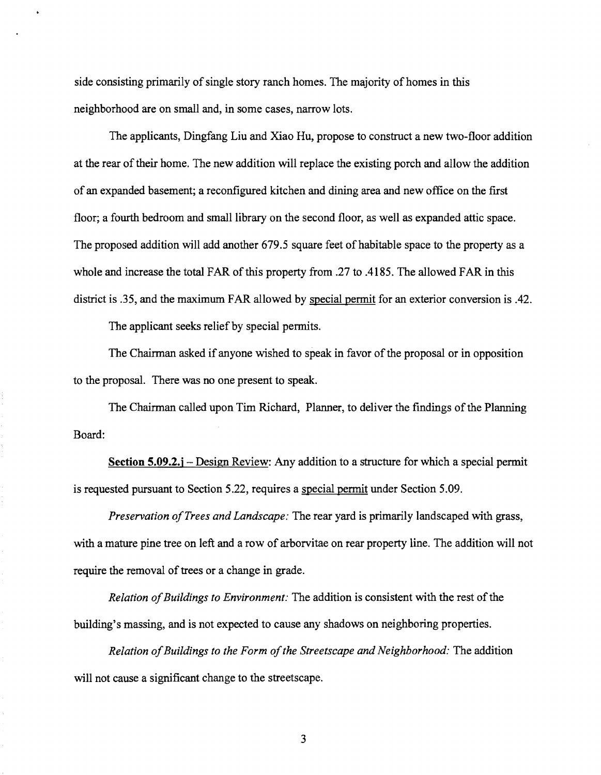side consisting primarily of single story ranch homes. The majority of homes in this neighborhood are on small and, in some cases, narrow lots.

The applicants, Dingfang Liu and Xiao Hu, propose to construct a new two-floor addition at the rear of their home. The new addition will replace the existing porch and allow the addition of an expanded basement; a reconfigured kitchen and dining area and new office on the first floor; a fourth bedroom and small library on the second floor, as well as expanded attic space. The proposed addition will add another 679.5 square feet of habitable space to the property as a whole and increase the total FAR of this property from .27 to .4185. The allowed FAR in this district is .35, and the maximum FAR allowed by special permit for an exterior conversion is .42.

The applicant seeks relief by special permits.

The Chairman asked if anyone wished to speak in favor of the proposal or in opposition to the proposal. There was no one present to speak.

The Chairman called upon Tim Richard, Planner, to deliver the findings of the Planning Board:

**<u>Section 5.09.2.j** – Design Review:</u> Any addition to a structure for which a special permit is requested pursuant to Section 5.22, requires a special permit under Section 5.09.

*Preservation ofTrees and Landscape:* The rear yard is primarily landscaped with grass, with a mature pine tree on left and a row of arborvitae on rear property line. The addition will not require the removal of trees or a change in grade.

*Relation of Buildings to Environment:* The addition is consistent with the rest of the building's massing, and is not expected to cause any shadows on neighboring properties.

*Relation ofBuildings to the Form ofthe Streetscape and Neighborhood:* The addition will not cause a significant change to the streetscape.

3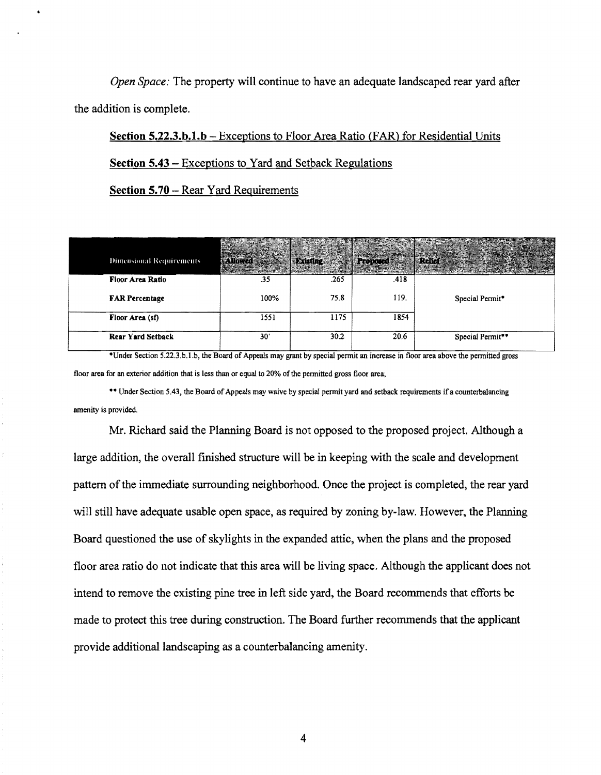*Open Space:* The property will continue to have an adequate landscaped rear yard after the addition is complete.

Section 5.22.3.h.1.h - Exceptions to Floor Area Ratio (FAR) for Residential Units

Section 5.43 - Exceptions to Yard and Setback Regulations

Section 5.70 - Rear Yard Requirements

| Dimensional Requirements |      | Existing and Proposed |      |                  |
|--------------------------|------|-----------------------|------|------------------|
| Floor Area Ratio         | .35  | .265                  | .418 |                  |
| <b>FAR Percentage</b>    | 100% | 75.8                  | 119. | Special Permit*  |
| Floor Area (sf)          | 1551 | 1175                  | 1854 |                  |
| <b>Rear Yard Setback</b> | 30'  | 30.2                  | 20.6 | Special Permit** |

\*Under Section 5.22.3.b.l.b, the Board of Appeals may grant by special permit an increase in floor area above the permitted gross floor area for an exterior addition that is less than or equal to 20% of the permitted gross floor area;

\*\* Under Section 5.43, the Board of Appeals may waive by special permit yard and setback requirements if a counterbalancing amenity is provided.

Mr. Richard said the Planning Board is not opposed to the proposed project. Although a large addition, the overall finished structure will be in keeping with the scale and development pattern of the immediate surrounding neighborhood. Once the project is completed, the rear yard will still have adequate usable open space, as required by zoning by-law. However, the Planning Board questioned the use of skylights in the expanded attic, when the plans and the proposed floor area ratio do not indicate that this area will be living space. Although the applicant does not intend to remove the existing pine tree in left side yard, the Board recommends that efforts be made to protect this tree during construction. The Board further recommends that the applicant provide additional landscaping as a counterbalancing amenity.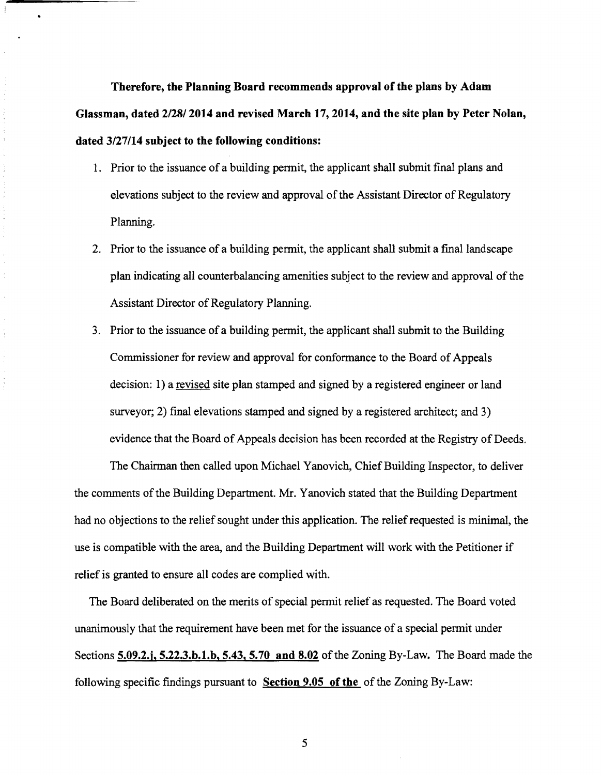**Therefore, the Planning Board recommends approval of the plans by Adam Glassman, dated 2/28/2014 and revised March 17,2014, and the site plan by Peter Nolan, dated 3/27114 subject to the following conditions:** 

š,

 $\bar{\tau}$ ţ,  $\frac{1}{2}$ 

- 1. Prior to the issuance of a building permit, the applicant shall submit final plans and elevations subject to the review and approval of the Assistant Director of Regulatory Planning.
- 2. Prior to the issuance of a building permit, the applicant shall submit a final landscape plan indicating all counterbalancing amenities subject to the review and approval of the Assistant Director of Regulatory Planning.
- 3. Prior to the issuance of a building pennit, the applicant shall submit to the Building Commissioner for review and approval for conformance to the Board of Appeals decision: l) a revised site plan stamped and signed by a registered engineer or land surveyor; 2) final elevations stamped and signed by a registered architect; and 3) evidence that the Board of Appeals decision has been recorded at the Registry of Deeds.

The Chairman then called upon Michael Yanovich, Chief Building Inspector, to deliver the comments of the Building Department. Mr. Yanovich stated that the Building Department had no objections to the relief sought under this application. The relief requested is minimal, the use is compatible with the area, and the Building Department will work with the Petitioner if relief is granted to ensure all codes are complied with.

The Board deliberated on the merits of special permit relief as requested. The Board voted unanimously that the requirement have been met for the issuance of a special pennit under Sections 5.09.2.j, 5.22.3.b.1.b, 5.43, 5.70 and 8.02 of the Zoning By-Law. The Board made the following specific findings pursuant to **Section 9.05 of the** of the Zoning By-Law:

5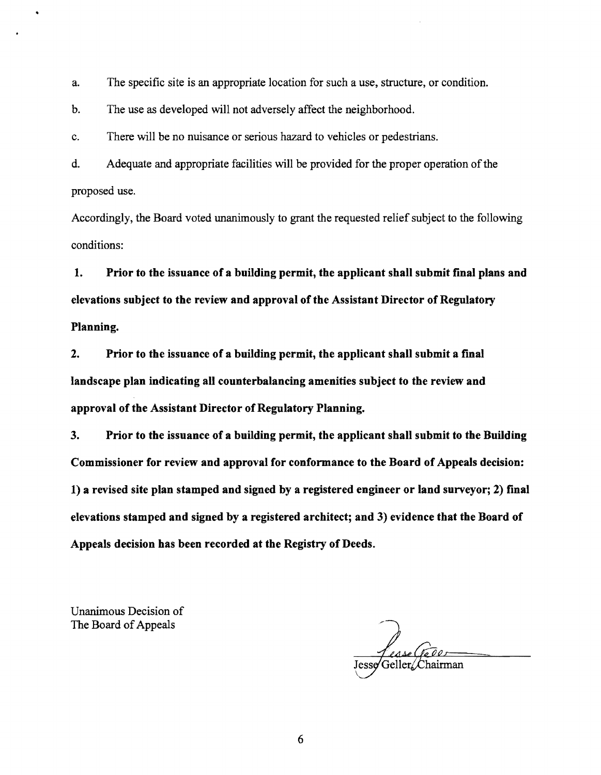a. The specific site is an appropriate location for such a use, structure, or condition.

b. The use as developed will not adversely affect the neighborhood.

c. There will be no nuisance or serious hazard to vehicles or pedestrians.

d. Adequate and appropriate facilities will be provided for the proper operation of the proposed use.

Accordingly, the Board voted unanimously to grant the requested relief subject to the following conditions:

1. Prior to the issuance of a building permit, the applicant shall submit final plans and elevations subject to the review and approval of the Assistant Director of Regulatory Planning.

2. Prior to the issuance of a building permit, the applicant shall submit a final landscape plan indicating all counterbalancing amenities subject to the review and approval of the Assistant Director of Regulatory Planning.

3. Prior to the issuance of a building permit, the applicant shall submit to the Building Commissioner for review and approval for conformance to the Board of Appeals decision: 1) a revised site plan stamped and signed by a registered engineer or land surveyor; 2) final elevations stamped and signed by a registered architect; and 3) evidence that the Board of Appeals decision has been recorded at the Registry of Deeds.

Unanimous Decision of The Board of Appeals

6